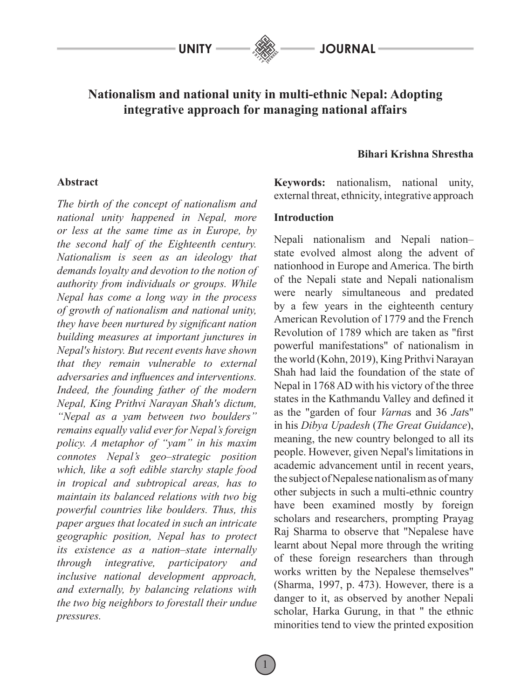# **Nationalism and national unity in multi-ethnic Nepal: Adopting integrative approach for managing national affairs**

### **Abstract**

*The birth of the concept of nationalism and national unity happened in Nepal, more or less at the same time as in Europe, by the second half of the Eighteenth century. Nationalism is seen as an ideology that demands loyalty and devotion to the notion of authority from individuals or groups. While Nepal has come a long way in the process of growth of nationalism and national unity, they have been nurtured by significant nation building measures at important junctures in Nepal's history. But recent events have shown that they remain vulnerable to external adversaries and influences and interventions. Indeed, the founding father of the modern Nepal, King Prithvi Narayan Shah's dictum, "Nepal as a yam between two boulders" remains equally valid ever for Nepal's foreign policy. A metaphor of "yam" in his maxim connotes Nepal's geo–strategic position which, like a soft edible starchy staple food in tropical and subtropical areas, has to maintain its balanced relations with two big powerful countries like boulders. Thus, this paper argues that located in such an intricate geographic position, Nepal has to protect its existence as a nation–state internally through integrative, participatory and inclusive national development approach, and externally, by balancing relations with the two big neighbors to forestall their undue pressures.* 

### **Bihari Krishna Shrestha**

**Keywords:** nationalism, national unity, external threat, ethnicity, integrative approach

### **Introduction**

Nepali nationalism and Nepali nation– state evolved almost along the advent of nationhood in Europe and America. The birth of the Nepali state and Nepali nationalism were nearly simultaneous and predated by a few years in the eighteenth century American Revolution of 1779 and the French Revolution of 1789 which are taken as "first powerful manifestations" of nationalism in the world (Kohn, 2019), King Prithvi Narayan Shah had laid the foundation of the state of Nepal in 1768 AD with his victory of the three states in the Kathmandu Valley and defined it as the "garden of four *Varna*s and 36 *Jat*s" in his *Dibya Upadesh* (*The Great Guidance*), meaning, the new country belonged to all its people. However, given Nepal's limitations in academic advancement until in recent years, the subject of Nepalese nationalism as of many other subjects in such a multi-ethnic country have been examined mostly by foreign scholars and researchers, prompting Prayag Raj Sharma to observe that "Nepalese have learnt about Nepal more through the writing of these foreign researchers than through works written by the Nepalese themselves" (Sharma, 1997, p. 473). However, there is a danger to it, as observed by another Nepali scholar, Harka Gurung, in that " the ethnic minorities tend to view the printed exposition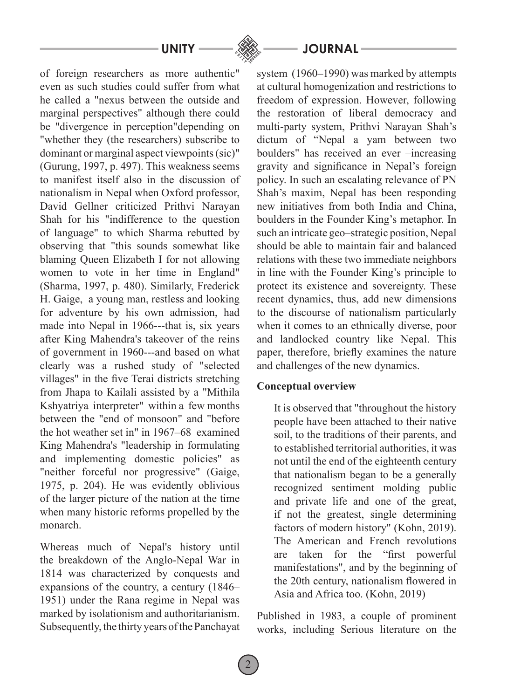of foreign researchers as more authentic" even as such studies could suffer from what he called a "nexus between the outside and marginal perspectives" although there could be "divergence in perception"depending on "whether they (the researchers) subscribe to dominant or marginal aspect viewpoints (sic)" (Gurung, 1997, p. 497). This weakness seems to manifest itself also in the discussion of nationalism in Nepal when Oxford professor, David Gellner criticized Prithvi Narayan Shah for his "indifference to the question of language" to which Sharma rebutted by observing that "this sounds somewhat like blaming Queen Elizabeth I for not allowing women to vote in her time in England" (Sharma, 1997, p. 480). Similarly, Frederick H. Gaige, a young man, restless and looking for adventure by his own admission, had made into Nepal in 1966---that is, six years after King Mahendra's takeover of the reins of government in 1960---and based on what clearly was a rushed study of "selected villages" in the five Terai districts stretching from Jhapa to Kailali assisted by a "Mithila Kshyatriya interpreter" within a few months between the "end of monsoon" and "before the hot weather set in" in 1967–68 examined King Mahendra's "leadership in formulating and implementing domestic policies" as "neither forceful nor progressive" (Gaige, 1975, p. 204). He was evidently oblivious of the larger picture of the nation at the time when many historic reforms propelled by the monarch.

Whereas much of Nepal's history until the breakdown of the Anglo-Nepal War in 1814 was characterized by conquests and expansions of the country, a century (1846– 1951) under the Rana regime in Nepal was marked by isolationism and authoritarianism. Subsequently, the thirty years of the Panchayat

# **UNITY JOURNAL**

system (1960–1990) was marked by attempts at cultural homogenization and restrictions to freedom of expression. However, following the restoration of liberal democracy and multi-party system, Prithvi Narayan Shah's dictum of "Nepal a yam between two boulders" has received an ever –increasing gravity and significance in Nepal's foreign policy. In such an escalating relevance of PN Shah's maxim, Nepal has been responding new initiatives from both India and China, boulders in the Founder King's metaphor. In such an intricate geo–strategic position, Nepal should be able to maintain fair and balanced relations with these two immediate neighbors in line with the Founder King's principle to protect its existence and sovereignty. These recent dynamics, thus, add new dimensions to the discourse of nationalism particularly when it comes to an ethnically diverse, poor and landlocked country like Nepal. This paper, therefore, briefly examines the nature and challenges of the new dynamics.

### **Conceptual overview**

It is observed that "throughout the history people have been attached to their native soil, to the traditions of their parents, and to established territorial authorities, it was not until the end of the eighteenth century that nationalism began to be a generally recognized sentiment molding public and private life and one of the great, if not the greatest, single determining factors of modern history" (Kohn, 2019). The American and French revolutions are taken for the "first powerful manifestations", and by the beginning of the 20th century, nationalism flowered in Asia and Africa too. (Kohn, 2019)

Published in 1983, a couple of prominent works, including Serious literature on the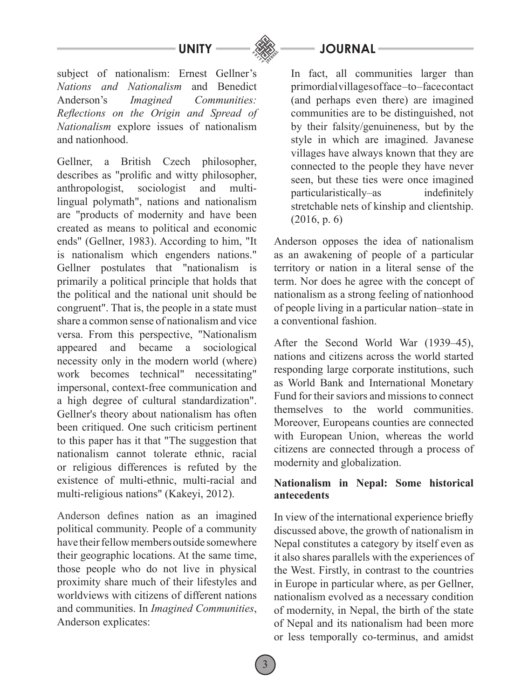



subject of nationalism: Ernest Gellner's *Nations and Nationalism* and Benedict Anderson's *Imagined Communities: Reflections on the Origin and Spread of Nationalism* explore issues of nationalism and nationhood.

Gellner, a British Czech philosopher, describes as "prolific and witty philosopher, anthropologist, sociologist and multilingual polymath", nations and nationalism are "products of modernity and have been created as means to political and economic ends" (Gellner, 1983). According to him, "It is nationalism which engenders nations." Gellner postulates that "nationalism is primarily a political principle that holds that the political and the national unit should be congruent". That is, the people in a state must share a common sense of nationalism and vice versa. From this perspective, "Nationalism appeared and became a sociological necessity only in the modern world (where) work becomes technical" necessitating" impersonal, context-free communication and a high degree of cultural standardization". Gellner's theory about nationalism has often been critiqued. One such criticism pertinent to this paper has it that "The suggestion that nationalism cannot tolerate ethnic, racial or religious differences is refuted by the existence of multi-ethnic, multi-racial and multi-religious nations" (Kakeyi, 2012).

Anderson defines nation as an imagined political community. People of a community have their fellow members outside somewhere their geographic locations. At the same time, those people who do not live in physical proximity share much of their lifestyles and worldviews with citizens of different nations and communities. In *Imagined Communities*, Anderson explicates:

In fact, all communities larger than primordial villages of face –to –face contact (and perhaps even there) are imagined communities are to be distinguished, not by their falsity/genuineness, but by the style in which are imagined. Javanese villages have always known that they are connected to the people they have never seen, but these ties were once imagined particularistically–as indefinitely stretchable nets of kinship and clientship. (2016, p. 6)

Anderson opposes the idea of nationalism as an awakening of people of a particular territory or nation in a literal sense of the term. Nor does he agree with the concept of nationalism as a strong feeling of nationhood of people living in a particular nation–state in a conventional fashion.

After the Second World War (1939–45), nations and citizens across the world started responding large corporate institutions, such as World Bank and International Monetary Fund for their saviors and missions to connect themselves to the world communities. Moreover, Europeans counties are connected with European Union, whereas the world citizens are connected through a process of modernity and globalization.

# **Nationalism in Nepal: Some historical antecedents**

In view of the international experience briefly discussed above, the growth of nationalism in Nepal constitutes a category by itself even as it also shares parallels with the experiences of the West. Firstly, in contrast to the countries in Europe in particular where, as per Gellner, nationalism evolved as a necessary condition of modernity, in Nepal, the birth of the state of Nepal and its nationalism had been more or less temporally co-terminus, and amidst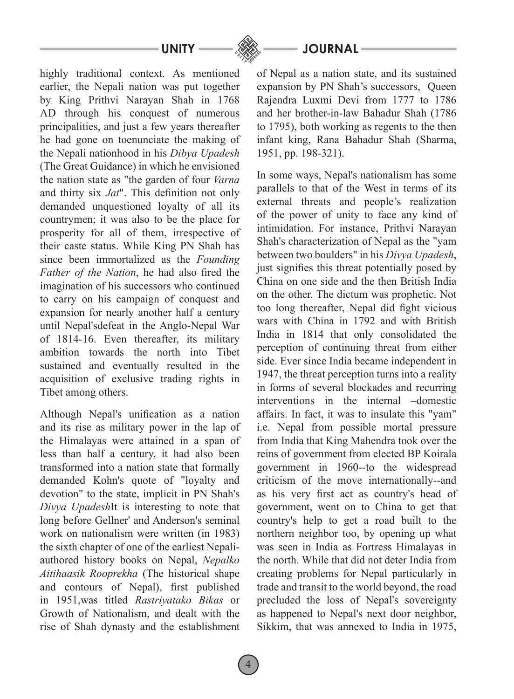highly traditional context. As mentioned earlier, the Nepali nation was put together by King Prithvi Narayan Shah in 1768 AD through his conquest of numerous principalities, and just a few years thereafter he had gone on toenunciate the making of the Nepali nationhood in his *Dibya Upadesh* (The Great Guidance) in which he envisioned the nation state as "the garden of four *Varna* and thirty six *Jat*". This definition not only demanded unquestioned loyalty of all its countrymen; it was also to be the place for prosperity for all of them, irrespective of their caste status. While King PN Shah has since been immortalized as the *Founding Father of the Nation*, he had also fired the imagination of his successors who continued to carry on his campaign of conquest and expansion for nearly another half a century until Nepal'sdefeat in the Anglo-Nepal War of 1814-16. Even thereafter, its military ambition towards the north into Tibet sustained and eventually resulted in the acquisition of exclusive trading rights in Tibet among others.

Although Nepal's unification as a nation and its rise as military power in the lap of the Himalayas were attained in a span of less than half a century, it had also been transformed into a nation state that formally demanded Kohn's quote of "loyalty and devotion" to the state, implicit in PN Shah's *Divya Upadesh*It is interesting to note that long before Gellner' and Anderson's seminal work on nationalism were written (in 1983) the sixth chapter of one of the earliest Nepaliauthored history books on Nepal, *Nepalko Aitihaasik Rooprekha* (The historical shape and contours of Nepal), first published in 1951,was titled *Rastriyatako Bikas* or Growth of Nationalism, and dealt with the rise of Shah dynasty and the establishment

# **UNITY JOURNAL**

of Nepal as a nation state, and its sustained expansion by PN Shah's successors, Queen Rajendra Luxmi Devi from 1777 to 1786 and her brother-in-law Bahadur Shah (1786 to 1795), both working as regents to the then infant king, Rana Bahadur Shah (Sharma, 1951, pp. 198-321).

In some ways, Nepal's nationalism has some parallels to that of the West in terms of its external threats and people's realization of the power of unity to face any kind of intimidation. For instance, Prithvi Narayan Shah's characterization of Nepal as the "yam between two boulders" in his *Divya Upadesh*, just signifies this threat potentially posed by China on one side and the then British India on the other. The dictum was prophetic. Not too long thereafter, Nepal did fight vicious wars with China in 1792 and with British India in 1814 that only consolidated the perception of continuing threat from either side. Ever since India became independent in 1947, the threat perception turns into a reality in forms of several blockades and recurring interventions in the internal –domestic affairs. In fact, it was to insulate this "yam" i.e. Nepal from possible mortal pressure from India that King Mahendra took over the reins of government from elected BP Koirala government in 1960--to the widespread criticism of the move internationally--and as his very first act as country's head of government, went on to China to get that country's help to get a road built to the northern neighbor too, by opening up what was seen in India as Fortress Himalayas in the north. While that did not deter India from creating problems for Nepal particularly in trade and transit to the world beyond, the road precluded the loss of Nepal's sovereignty as happened to Nepal's next door neighbor, Sikkim, that was annexed to India in 1975,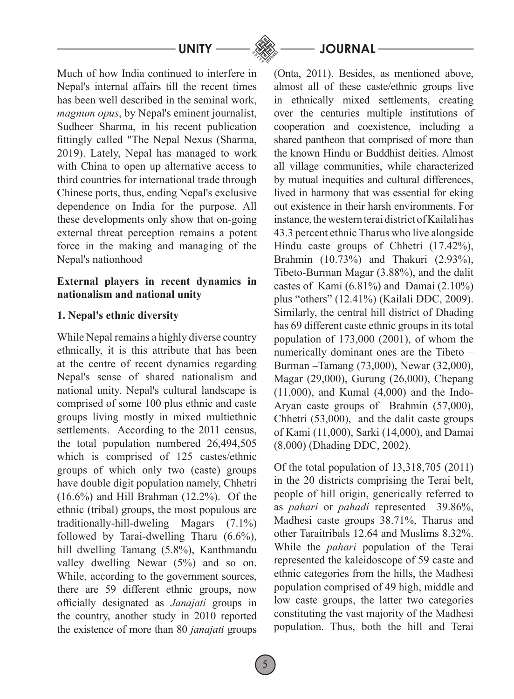

**UNITY JOURNAL**

Much of how India continued to interfere in Nepal's internal affairs till the recent times has been well described in the seminal work, *magnum opus*, by Nepal's eminent journalist, Sudheer Sharma, in his recent publication fittingly called "The Nepal Nexus (Sharma, 2019). Lately, Nepal has managed to work with China to open up alternative access to third countries for international trade through Chinese ports, thus, ending Nepal's exclusive dependence on India for the purpose. All these developments only show that on-going external threat perception remains a potent force in the making and managing of the Nepal's nationhood

# **External players in recent dynamics in nationalism and national unity**

# **1. Nepal's ethnic diversity**

While Nepal remains a highly diverse country ethnically, it is this attribute that has been at the centre of recent dynamics regarding Nepal's sense of shared nationalism and national unity. Nepal's cultural landscape is comprised of some 100 plus ethnic and caste groups living mostly in mixed multiethnic settlements. According to the 2011 census, the total population numbered 26,494,505 which is comprised of 125 castes/ethnic groups of which only two (caste) groups have double digit population namely, Chhetri (16.6%) and Hill Brahman (12.2%). Of the ethnic (tribal) groups, the most populous are traditionally-hill-dweling Magars (7.1%) followed by Tarai-dwelling Tharu (6.6%), hill dwelling Tamang (5.8%), Kanthmandu valley dwelling Newar (5%) and so on. While, according to the government sources, there are 59 different ethnic groups, now officially designated as *Janajati* groups in the country, another study in 2010 reported the existence of more than 80 *janajati* groups (Onta, 2011). Besides, as mentioned above, almost all of these caste/ethnic groups live in ethnically mixed settlements, creating over the centuries multiple institutions of cooperation and coexistence, including a shared pantheon that comprised of more than the known Hindu or Buddhist deities. Almost all village communities, while characterized by mutual inequities and cultural differences, lived in harmony that was essential for eking out existence in their harsh environments. For instance, the western terai district of Kailali has 43.3 percent ethnic Tharus who live alongside Hindu caste groups of Chhetri (17.42%), Brahmin (10.73%) and Thakuri (2.93%), Tibeto-Burman Magar (3.88%), and the dalit castes of Kami (6.81%) and Damai (2.10%) plus "others" (12.41%) (Kailali DDC, 2009). Similarly, the central hill district of Dhading has 69 different caste ethnic groups in its total population of 173,000 (2001), of whom the numerically dominant ones are the Tibeto – Burman –Tamang (73,000), Newar (32,000), Magar (29,000), Gurung (26,000), Chepang (11,000), and Kumal (4,000) and the Indo-Aryan caste groups of Brahmin (57,000), Chhetri (53,000), and the dalit caste groups of Kami (11,000), Sarki (14,000), and Damai (8,000) (Dhading DDC, 2002).

Of the total population of 13,318,705 (2011) in the 20 districts comprising the Terai belt, people of hill origin, generically referred to as *pahari* or *pahadi* represented 39.86%, Madhesi caste groups 38.71%, Tharus and other Taraitribals 12.64 and Muslims 8.32%. While the *pahari* population of the Terai represented the kaleidoscope of 59 caste and ethnic categories from the hills, the Madhesi population comprised of 49 high, middle and low caste groups, the latter two categories constituting the vast majority of the Madhesi population. Thus, both the hill and Terai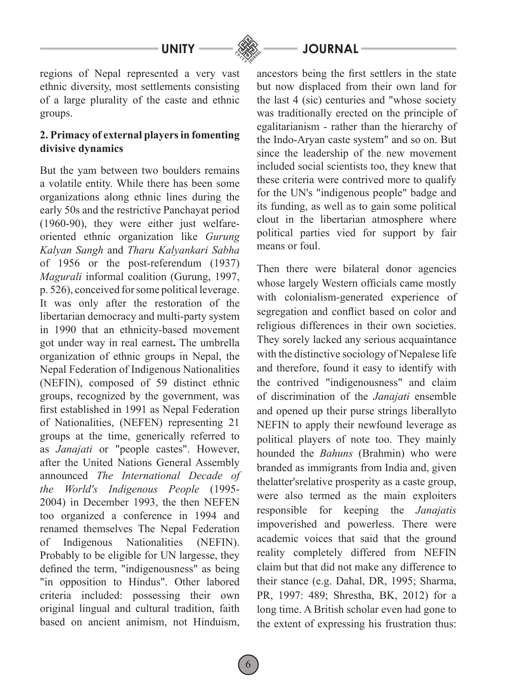

regions of Nepal represented a very vast ethnic diversity, most settlements consisting of a large plurality of the caste and ethnic groups.

# **2. Primacy of external players in fomenting divisive dynamics**

But the yam between two boulders remains a volatile entity. While there has been some organizations along ethnic lines during the early 50s and the restrictive Panchayat period (1960-90), they were either just welfareoriented ethnic organization like *Gurung Kalyan Sangh* and *Tharu Kalyankari Sabha* of 1956 or the post-referendum (1937) *Magurali* informal coalition (Gurung, 1997, p. 526), conceived for some political leverage. It was only after the restoration of the libertarian democracy and multi-party system in 1990 that an ethnicity-based movement got under way in real earnest**.** The umbrella organization of ethnic groups in Nepal, the Nepal Federation of Indigenous Nationalities (NEFIN), composed of 59 distinct ethnic groups, recognized by the government, was first established in 1991 as Nepal Federation of Nationalities, (NEFEN) representing 21 groups at the time, generically referred to as *Janajati* or "people castes". However, after the United Nations General Assembly announced *The International Decade of the World's Indigenous People* (1995- 2004) in December 1993, the then NEFEN too organized a conference in 1994 and renamed themselves The Nepal Federation of Indigenous Nationalities (NEFIN). Probably to be eligible for UN largesse, they defined the term, "indigenousness" as being "in opposition to Hindus". Other labored criteria included: possessing their own original lingual and cultural tradition, faith based on ancient animism, not Hinduism,

ancestors being the first settlers in the state but now displaced from their own land for the last 4 (sic) centuries and "whose society was traditionally erected on the principle of egalitarianism - rather than the hierarchy of the Indo-Aryan caste system" and so on. But since the leadership of the new movement included social scientists too, they knew that these criteria were contrived more to qualify for the UN's "indigenous people" badge and its funding, as well as to gain some political clout in the libertarian atmosphere where political parties vied for support by fair means or foul.

Then there were bilateral donor agencies whose largely Western officials came mostly with colonialism-generated experience of segregation and conflict based on color and religious differences in their own societies. They sorely lacked any serious acquaintance with the distinctive sociology of Nepalese life and therefore, found it easy to identify with the contrived "indigenousness" and claim of discrimination of the *Janajati* ensemble and opened up their purse strings liberallyto NEFIN to apply their newfound leverage as political players of note too. They mainly hounded the *Bahuns* (Brahmin) who were branded as immigrants from India and, given thelatter'srelative prosperity as a caste group, were also termed as the main exploiters responsible for keeping the *Janajatis*  impoverished and powerless. There were academic voices that said that the ground reality completely differed from NEFIN claim but that did not make any difference to their stance (e.g. Dahal, DR, 1995; Sharma, PR, 1997: 489; Shrestha, BK, 2012) for a long time. A British scholar even had gone to the extent of expressing his frustration thus: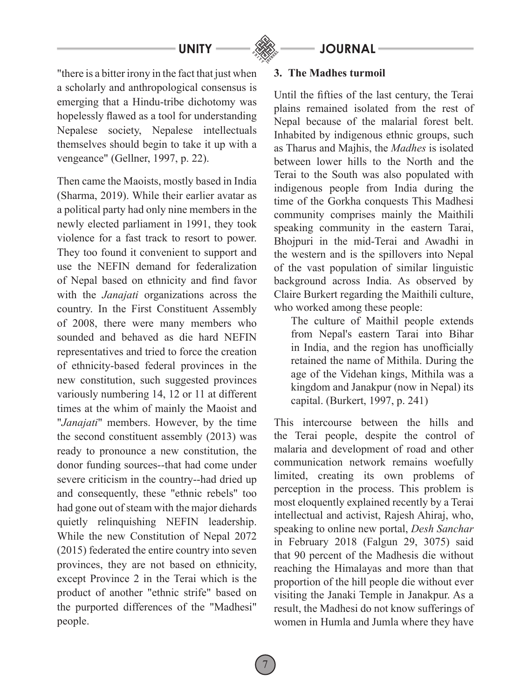

**UNITY JOURNAL**

"there is a bitter irony in the fact that just when a scholarly and anthropological consensus is emerging that a Hindu-tribe dichotomy was hopelessly flawed as a tool for understanding Nepalese society, Nepalese intellectuals themselves should begin to take it up with a vengeance" (Gellner, 1997, p. 22).

Then came the Maoists, mostly based in India (Sharma, 2019). While their earlier avatar as a political party had only nine members in the newly elected parliament in 1991, they took violence for a fast track to resort to power. They too found it convenient to support and use the NEFIN demand for federalization of Nepal based on ethnicity and find favor with the *Janajati* organizations across the country. In the First Constituent Assembly of 2008, there were many members who sounded and behaved as die hard NEFIN representatives and tried to force the creation of ethnicity-based federal provinces in the new constitution, such suggested provinces variously numbering 14, 12 or 11 at different times at the whim of mainly the Maoist and "*Janajati*" members. However, by the time the second constituent assembly (2013) was ready to pronounce a new constitution, the donor funding sources--that had come under severe criticism in the country--had dried up and consequently, these "ethnic rebels" too had gone out of steam with the major diehards quietly relinquishing NEFIN leadership. While the new Constitution of Nepal 2072 (2015) federated the entire country into seven provinces, they are not based on ethnicity, except Province 2 in the Terai which is the product of another "ethnic strife" based on the purported differences of the "Madhesi" people.

### **3. The Madhes turmoil**

Until the fifties of the last century, the Terai plains remained isolated from the rest of Nepal because of the malarial forest belt. Inhabited by indigenous ethnic groups, such as Tharus and Majhis, the *Madhes* is isolated between lower hills to the North and the Terai to the South was also populated with indigenous people from India during the time of the Gorkha conquests This Madhesi community comprises mainly the Maithili speaking community in the eastern Tarai, Bhojpuri in the mid-Terai and Awadhi in the western and is the spillovers into Nepal of the vast population of similar linguistic background across India. As observed by Claire Burkert regarding the Maithili culture, who worked among these people:

The culture of Maithil people extends from Nepal's eastern Tarai into Bihar in India, and the region has unofficially retained the name of Mithila. During the age of the Videhan kings, Mithila was a kingdom and Janakpur (now in Nepal) its capital. (Burkert, 1997, p. 241)

This intercourse between the hills and the Terai people, despite the control of malaria and development of road and other communication network remains woefully limited, creating its own problems of perception in the process. This problem is most eloquently explained recently by a Terai intellectual and activist, Rajesh Ahiraj, who, speaking to online new portal, *Desh Sanchar*  in February 2018 (Falgun 29, 3075) said that 90 percent of the Madhesis die without reaching the Himalayas and more than that proportion of the hill people die without ever visiting the Janaki Temple in Janakpur. As a result, the Madhesi do not know sufferings of women in Humla and Jumla where they have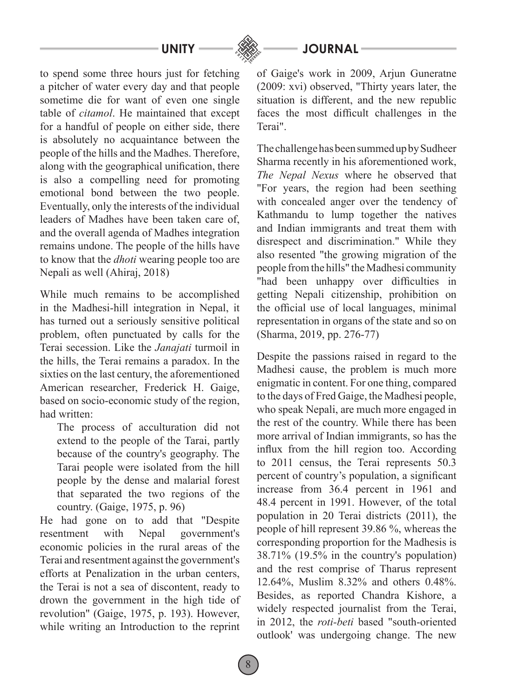

to spend some three hours just for fetching a pitcher of water every day and that people sometime die for want of even one single table of *citamol*. He maintained that except for a handful of people on either side, there is absolutely no acquaintance between the people of the hills and the Madhes. Therefore, along with the geographical unification, there is also a compelling need for promoting emotional bond between the two people. Eventually, only the interests of the individual leaders of Madhes have been taken care of, and the overall agenda of Madhes integration remains undone. The people of the hills have to know that the *dhoti* wearing people too are Nepali as well (Ahiraj, 2018)

While much remains to be accomplished in the Madhesi-hill integration in Nepal, it has turned out a seriously sensitive political problem, often punctuated by calls for the Terai secession. Like the *Janajati* turmoil in the hills, the Terai remains a paradox. In the sixties on the last century, the aforementioned American researcher, Frederick H. Gaige, based on socio-economic study of the region, had written:

The process of acculturation did not extend to the people of the Tarai, partly because of the country's geography. The Tarai people were isolated from the hill people by the dense and malarial forest that separated the two regions of the country. (Gaige, 1975, p. 96)

He had gone on to add that "Despite resentment with Nepal government's economic policies in the rural areas of the Terai and resentment against the government's efforts at Penalization in the urban centers, the Terai is not a sea of discontent, ready to drown the government in the high tide of revolution" (Gaige, 1975, p. 193). However, while writing an Introduction to the reprint of Gaige's work in 2009, Arjun Guneratne (2009: xvi) observed, "Thirty years later, the situation is different, and the new republic faces the most difficult challenges in the Terai".

The challenge has been summed up by Sudheer Sharma recently in his aforementioned work, *The Nepal Nexus* where he observed that "For years, the region had been seething with concealed anger over the tendency of Kathmandu to lump together the natives and Indian immigrants and treat them with disrespect and discrimination." While they also resented "the growing migration of the people from the hills" the Madhesi community "had been unhappy over difficulties in getting Nepali citizenship, prohibition on the official use of local languages, minimal representation in organs of the state and so on (Sharma, 2019, pp. 276-77)

Despite the passions raised in regard to the Madhesi cause, the problem is much more enigmatic in content. For one thing, compared to the days of Fred Gaige, the Madhesi people, who speak Nepali, are much more engaged in the rest of the country. While there has been more arrival of Indian immigrants, so has the influx from the hill region too. According to 2011 census, the Terai represents 50.3 percent of country's population, a significant increase from 36.4 percent in 1961 and 48.4 percent in 1991. However, of the total population in 20 Terai districts (2011), the people of hill represent 39.86 %, whereas the corresponding proportion for the Madhesis is 38.71% (19.5% in the country's population) and the rest comprise of Tharus represent 12.64%, Muslim 8.32% and others 0.48%. Besides, as reported Chandra Kishore, a widely respected journalist from the Terai, in 2012, the *roti-beti* based "south-oriented outlook' was undergoing change. The new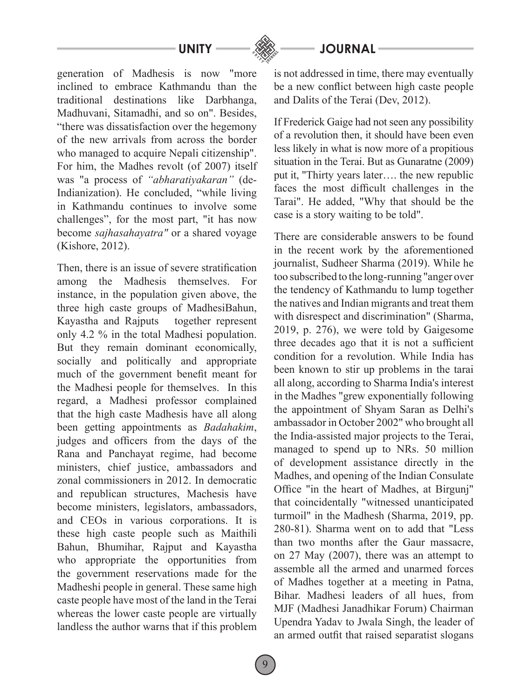# **JOURNAL**

generation of Madhesis is now "more inclined to embrace Kathmandu than the traditional destinations like Darbhanga, Madhuvani, Sitamadhi, and so on". Besides, "there was dissatisfaction over the hegemony of the new arrivals from across the border who managed to acquire Nepali citizenship". For him, the Madhes revolt (of 2007) itself was "a process of *"abharatiyakaran"* (de-Indianization). He concluded, "while living in Kathmandu continues to involve some challenges", for the most part, "it has now become *sajhasahayatra"* or a shared voyage (Kishore, 2012).

Then, there is an issue of severe stratification among the Madhesis themselves. For instance, in the population given above, the three high caste groups of MadhesiBahun, Kayastha and Rajputs together represent only 4.2 % in the total Madhesi population. But they remain dominant economically, socially and politically and appropriate much of the government benefit meant for the Madhesi people for themselves. In this regard, a Madhesi professor complained that the high caste Madhesis have all along been getting appointments as *Badahakim*, judges and officers from the days of the Rana and Panchayat regime, had become ministers, chief justice, ambassadors and zonal commissioners in 2012. In democratic and republican structures, Machesis have become ministers, legislators, ambassadors, and CEOs in various corporations. It is these high caste people such as Maithili Bahun, Bhumihar, Rajput and Kayastha who appropriate the opportunities from the government reservations made for the Madheshi people in general. These same high caste people have most of the land in the Terai whereas the lower caste people are virtually landless the author warns that if this problem is not addressed in time, there may eventually be a new conflict between high caste people and Dalits of the Terai (Dev, 2012).

If Frederick Gaige had not seen any possibility of a revolution then, it should have been even less likely in what is now more of a propitious situation in the Terai. But as Gunaratne (2009) put it, "Thirty years later…. the new republic faces the most difficult challenges in the Tarai". He added, "Why that should be the case is a story waiting to be told".

There are considerable answers to be found in the recent work by the aforementioned journalist, Sudheer Sharma (2019). While he too subscribed to the long-running "anger over the tendency of Kathmandu to lump together the natives and Indian migrants and treat them with disrespect and discrimination" (Sharma, 2019, p. 276), we were told by Gaigesome three decades ago that it is not a sufficient condition for a revolution. While India has been known to stir up problems in the tarai all along, according to Sharma India's interest in the Madhes "grew exponentially following the appointment of Shyam Saran as Delhi's ambassador in October 2002" who brought all the India-assisted major projects to the Terai, managed to spend up to NRs. 50 million of development assistance directly in the Madhes, and opening of the Indian Consulate Office "in the heart of Madhes, at Birgunj" that coincidentally "witnessed unanticipated turmoil" in the Madhesh (Sharma, 2019, pp. 280-81). Sharma went on to add that "Less than two months after the Gaur massacre, on 27 May (2007), there was an attempt to assemble all the armed and unarmed forces of Madhes together at a meeting in Patna, Bihar. Madhesi leaders of all hues, from MJF (Madhesi Janadhikar Forum) Chairman Upendra Yadav to Jwala Singh, the leader of an armed outfit that raised separatist slogans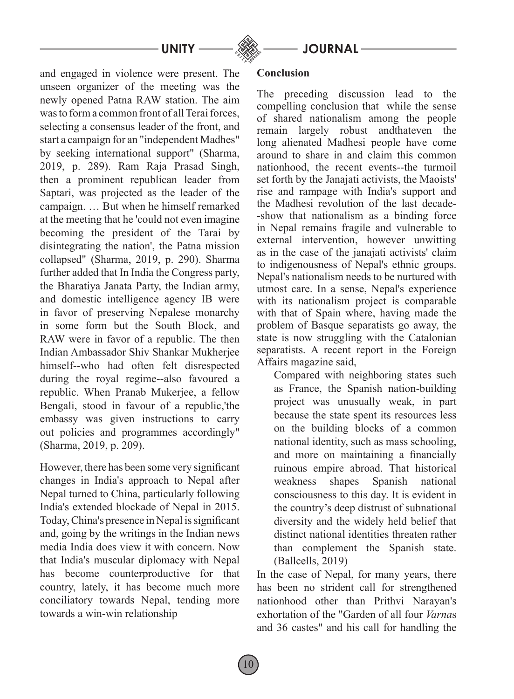

**UNITY JOURNAL**

and engaged in violence were present. The unseen organizer of the meeting was the newly opened Patna RAW station. The aim was to form a common front of all Terai forces, selecting a consensus leader of the front, and start a campaign for an "independent Madhes" by seeking international support" (Sharma, 2019, p. 289). Ram Raja Prasad Singh, then a prominent republican leader from Saptari, was projected as the leader of the campaign. … But when he himself remarked at the meeting that he 'could not even imagine becoming the president of the Tarai by disintegrating the nation', the Patna mission collapsed" (Sharma, 2019, p. 290). Sharma further added that In India the Congress party, the Bharatiya Janata Party, the Indian army, and domestic intelligence agency IB were in favor of preserving Nepalese monarchy in some form but the South Block, and RAW were in favor of a republic. The then Indian Ambassador Shiv Shankar Mukherjee himself--who had often felt disrespected during the royal regime--also favoured a republic. When Pranab Mukerjee, a fellow Bengali, stood in favour of a republic,'the embassy was given instructions to carry out policies and programmes accordingly" (Sharma, 2019, p. 209).

However, there has been some very significant changes in India's approach to Nepal after Nepal turned to China, particularly following India's extended blockade of Nepal in 2015. Today, China's presence in Nepal is significant and, going by the writings in the Indian news media India does view it with concern. Now that India's muscular diplomacy with Nepal has become counterproductive for that country, lately, it has become much more conciliatory towards Nepal, tending more towards a win-win relationship

### **Conclusion**

The preceding discussion lead to the compelling conclusion that while the sense of shared nationalism among the people remain largely robust andthateven the long alienated Madhesi people have come around to share in and claim this common nationhood, the recent events--the turmoil set forth by the Janajati activists, the Maoists' rise and rampage with India's support and the Madhesi revolution of the last decade- -show that nationalism as a binding force in Nepal remains fragile and vulnerable to external intervention, however unwitting as in the case of the janajati activists' claim to indigenousness of Nepal's ethnic groups. Nepal's nationalism needs to be nurtured with utmost care. In a sense, Nepal's experience with its nationalism project is comparable with that of Spain where, having made the problem of Basque separatists go away, the state is now struggling with the Catalonian separatists. A recent report in the Foreign Affairs magazine said,

Compared with neighboring states such as France, the Spanish nation-building project was unusually weak, in part because the state spent its resources less on the building blocks of a common national identity, such as mass schooling, and more on maintaining a financially ruinous empire abroad. That historical weakness shapes Spanish national consciousness to this day. It is evident in the country's deep distrust of subnational diversity and the widely held belief that distinct national identities threaten rather than complement the Spanish state. (Ballcells, 2019)

In the case of Nepal, for many years, there has been no strident call for strengthened nationhood other than Prithvi Narayan's exhortation of the "Garden of all four *Varna*s and 36 castes" and his call for handling the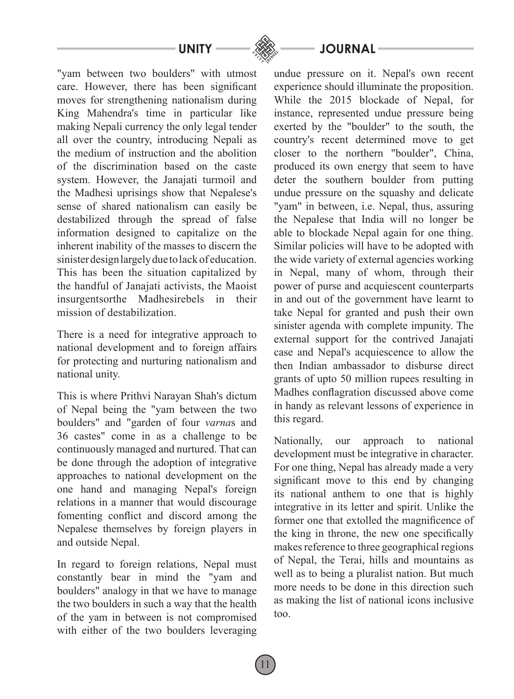"yam between two boulders" with utmost care. However, there has been significant moves for strengthening nationalism during King Mahendra's time in particular like making Nepali currency the only legal tender all over the country, introducing Nepali as the medium of instruction and the abolition of the discrimination based on the caste system. However, the Janajati turmoil and the Madhesi uprisings show that Nepalese's sense of shared nationalism can easily be destabilized through the spread of false information designed to capitalize on the inherent inability of the masses to discern the sinister design largely due to lack of education. This has been the situation capitalized by the handful of Janajati activists, the Maoist insurgentsorthe Madhesirebels in their mission of destabilization.

There is a need for integrative approach to national development and to foreign affairs for protecting and nurturing nationalism and national unity.

This is where Prithvi Narayan Shah's dictum of Nepal being the "yam between the two boulders" and "garden of four *varna*s and 36 castes" come in as a challenge to be continuously managed and nurtured. That can be done through the adoption of integrative approaches to national development on the one hand and managing Nepal's foreign relations in a manner that would discourage fomenting conflict and discord among the Nepalese themselves by foreign players in and outside Nepal.

In regard to foreign relations, Nepal must constantly bear in mind the "yam and boulders" analogy in that we have to manage the two boulders in such a way that the health of the yam in between is not compromised with either of the two boulders leveraging undue pressure on it. Nepal's own recent experience should illuminate the proposition. While the 2015 blockade of Nepal, for instance, represented undue pressure being exerted by the "boulder" to the south, the country's recent determined move to get closer to the northern "boulder", China, produced its own energy that seem to have deter the southern boulder from putting undue pressure on the squashy and delicate "yam" in between, i.e. Nepal, thus, assuring the Nepalese that India will no longer be able to blockade Nepal again for one thing. Similar policies will have to be adopted with the wide variety of external agencies working in Nepal, many of whom, through their power of purse and acquiescent counterparts in and out of the government have learnt to take Nepal for granted and push their own sinister agenda with complete impunity. The external support for the contrived Janajati case and Nepal's acquiescence to allow the then Indian ambassador to disburse direct grants of upto 50 million rupees resulting in Madhes conflagration discussed above come in handy as relevant lessons of experience in this regard.

Nationally, our approach to national development must be integrative in character. For one thing, Nepal has already made a very significant move to this end by changing its national anthem to one that is highly integrative in its letter and spirit. Unlike the former one that extolled the magnificence of the king in throne, the new one specifically makes reference to three geographical regions of Nepal, the Terai, hills and mountains as well as to being a pluralist nation. But much more needs to be done in this direction such as making the list of national icons inclusive too.

**UNITY JOURNAL**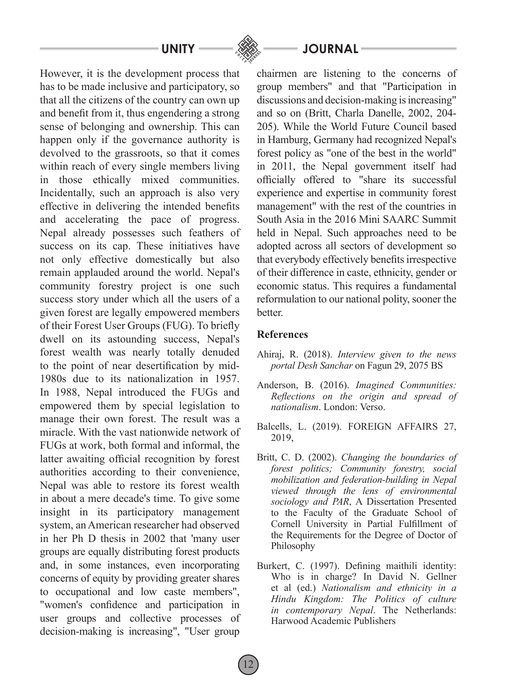However, it is the development process that has to be made inclusive and participatory, so that all the citizens of the country can own up and benefit from it, thus engendering a strong sense of belonging and ownership. This can happen only if the governance authority is devolved to the grassroots, so that it comes within reach of every single members living in those ethically mixed communities. Incidentally, such an approach is also very effective in delivering the intended benefits and accelerating the pace of progress. Nepal already possesses such feathers of success on its cap. These initiatives have not only effective domestically but also remain applauded around the world. Nepal's community forestry project is one such success story under which all the users of a given forest are legally empowered members of their Forest User Groups (FUG). To briefly dwell on its astounding success, Nepal's forest wealth was nearly totally denuded to the point of near desertification by mid-1980s due to its nationalization in 1957. In 1988, Nepal introduced the FUGs and empowered them by special legislation to manage their own forest. The result was a miracle. With the vast nationwide network of FUGs at work, both formal and informal, the latter awaiting official recognition by forest authorities according to their convenience, Nepal was able to restore its forest wealth in about a mere decade's time. To give some insight in its participatory management system, an American researcher had observed in her Ph D thesis in 2002 that 'many user groups are equally distributing forest products and, in some instances, even incorporating concerns of equity by providing greater shares to occupational and low caste members", "women's confidence and participation in user groups and collective processes of decision-making is increasing", "User group

# UNITY <del>\_\_\_\_</del> . ... ... ... JOURNAL

chairmen are listening to the concerns of group members" and that "Participation in discussions and decision-making is increasing" and so on (Britt, Charla Danelle, 2002, 204- 205). While the World Future Council based in Hamburg, Germany had recognized Nepal's forest policy as "one of the best in the world" in 2011, the Nepal government itself had officially offered to "share its successful experience and expertise in community forest management" with the rest of the countries in South Asia in the 2016 Mini SAARC Summit held in Nepal. Such approaches need to be adopted across all sectors of development so that everybody effectively benefits irrespective of their difference in caste, ethnicity, gender or economic status. This requires a fundamental reformulation to our national polity, sooner the **better** 

### **References**

12

- Ahiraj, R. (2018). *Interview given to the news portal Desh Sanchar* on Fagun 29, 2075 BS
- Anderson, B. (2016). *Imagined Communities: Reflections on the origin and spread of nationalism*. London: Verso.
- Balcells, L. (2019). FOREIGN AFFAIRS 27, 2019,
- Britt, C. D. (2002). *Changing the boundaries of forest politics; Community forestry, social mobilization and federation-building in Nepal viewed through the lens of environmental sociology and PAR*, A Dissertation Presented to the Faculty of the Graduate School of Cornell University in Partial Fulfillment of the Requirements for the Degree of Doctor of Philosophy
- Burkert, C. (1997). Defining maithili identity: Who is in charge? In David N. Gellner et al (ed.) *Nationalism and ethnicity in a Hindu Kingdom: The Politics of culture in contemporary Nepal*. The Netherlands: Harwood Academic Publishers